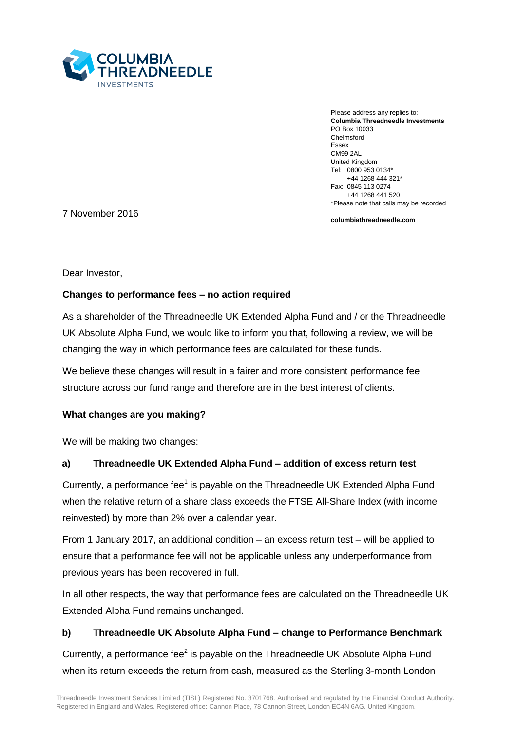

Please address any replies to: **Columbia Threadneedle Investments** PO Box 10033 Chelmsford Essex CM99 2AL United Kingdom Tel: 0800 953 0134\* +44 1268 444 321\* Fax: 0845 113 0274 +44 1268 441 520 \*Please note that calls may be recorded

7 November 2016

**columbiathreadneedle.com**

Dear Investor,

# **Changes to performance fees – no action required**

As a shareholder of the Threadneedle UK Extended Alpha Fund and / or the Threadneedle UK Absolute Alpha Fund, we would like to inform you that, following a review, we will be changing the way in which performance fees are calculated for these funds.

We believe these changes will result in a fairer and more consistent performance fee structure across our fund range and therefore are in the best interest of clients.

# **What changes are you making?**

We will be making two changes:

# **a) Threadneedle UK Extended Alpha Fund – addition of excess return test**

Currently, a performance fee<sup>1</sup> is payable on the Threadneedle UK Extended Alpha Fund when the relative return of a share class exceeds the FTSE All-Share Index (with income reinvested) by more than 2% over a calendar year.

From 1 January 2017, an additional condition – an excess return test – will be applied to ensure that a performance fee will not be applicable unless any underperformance from previous years has been recovered in full.

In all other respects, the way that performance fees are calculated on the Threadneedle UK Extended Alpha Fund remains unchanged.

# **b) Threadneedle UK Absolute Alpha Fund – change to Performance Benchmark**

Currently, a performance fee $2$  is payable on the Threadneedle UK Absolute Alpha Fund when its return exceeds the return from cash, measured as the Sterling 3-month London